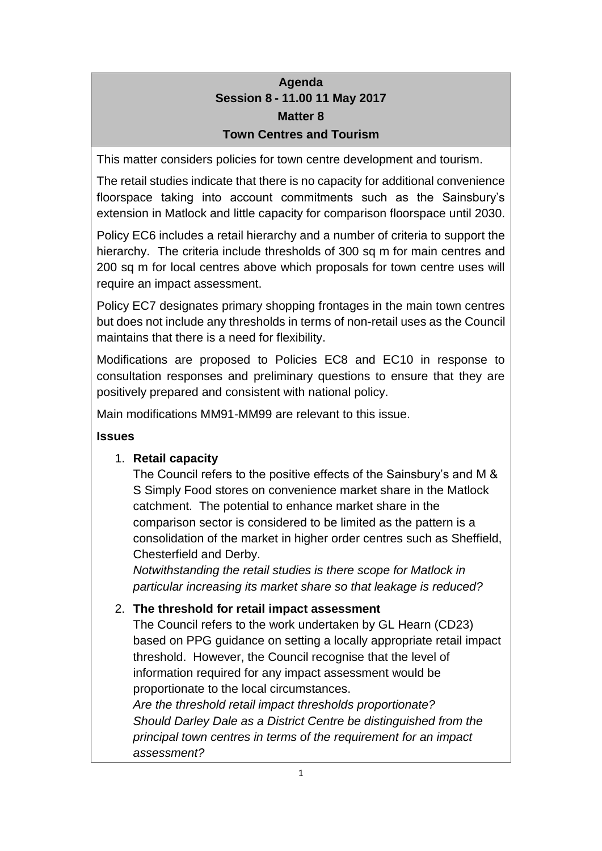## **Agenda Session 8 - 11.00 11 May 2017 Matter 8 Town Centres and Tourism**

This matter considers policies for town centre development and tourism.

The retail studies indicate that there is no capacity for additional convenience floorspace taking into account commitments such as the Sainsbury's extension in Matlock and little capacity for comparison floorspace until 2030.

Policy EC6 includes a retail hierarchy and a number of criteria to support the hierarchy. The criteria include thresholds of 300 sq m for main centres and 200 sq m for local centres above which proposals for town centre uses will require an impact assessment.

Policy EC7 designates primary shopping frontages in the main town centres but does not include any thresholds in terms of non-retail uses as the Council maintains that there is a need for flexibility.

Modifications are proposed to Policies EC8 and EC10 in response to consultation responses and preliminary questions to ensure that they are positively prepared and consistent with national policy.

Main modifications MM91-MM99 are relevant to this issue.

### **Issues**

### 1. **Retail capacity**

The Council refers to the positive effects of the Sainsbury's and M & S Simply Food stores on convenience market share in the Matlock catchment. The potential to enhance market share in the comparison sector is considered to be limited as the pattern is a consolidation of the market in higher order centres such as Sheffield, Chesterfield and Derby.

*Notwithstanding the retail studies is there scope for Matlock in particular increasing its market share so that leakage is reduced?*

### 2. **The threshold for retail impact assessment**

The Council refers to the work undertaken by GL Hearn (CD23) based on PPG guidance on setting a locally appropriate retail impact threshold. However, the Council recognise that the level of information required for any impact assessment would be proportionate to the local circumstances.

*Are the threshold retail impact thresholds proportionate? Should Darley Dale as a District Centre be distinguished from the principal town centres in terms of the requirement for an impact assessment?*